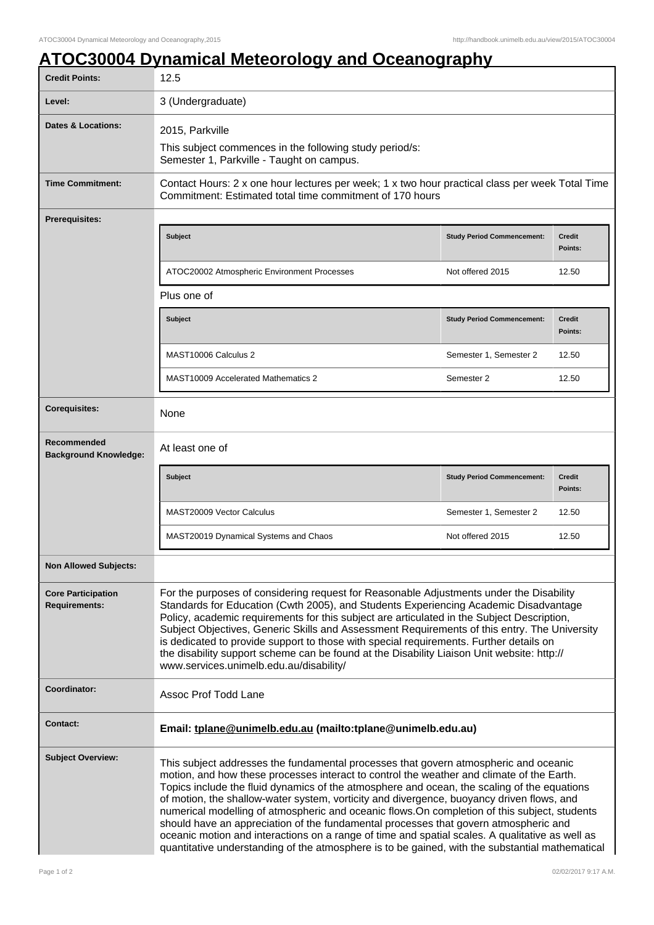## **ATOC30004 Dynamical Meteorology and Oceanography**

| <b>Credit Points:</b>                             | 12.5                                                                                                                                                                                                                                                                                                                                                                                                                                                                                                                                                                                                                                                                                                                                                                         |                                   |                          |
|---------------------------------------------------|------------------------------------------------------------------------------------------------------------------------------------------------------------------------------------------------------------------------------------------------------------------------------------------------------------------------------------------------------------------------------------------------------------------------------------------------------------------------------------------------------------------------------------------------------------------------------------------------------------------------------------------------------------------------------------------------------------------------------------------------------------------------------|-----------------------------------|--------------------------|
| Level:                                            | 3 (Undergraduate)                                                                                                                                                                                                                                                                                                                                                                                                                                                                                                                                                                                                                                                                                                                                                            |                                   |                          |
| <b>Dates &amp; Locations:</b>                     | 2015, Parkville                                                                                                                                                                                                                                                                                                                                                                                                                                                                                                                                                                                                                                                                                                                                                              |                                   |                          |
|                                                   | This subject commences in the following study period/s:<br>Semester 1, Parkville - Taught on campus.                                                                                                                                                                                                                                                                                                                                                                                                                                                                                                                                                                                                                                                                         |                                   |                          |
| <b>Time Commitment:</b>                           | Contact Hours: 2 x one hour lectures per week; 1 x two hour practical class per week Total Time<br>Commitment: Estimated total time commitment of 170 hours                                                                                                                                                                                                                                                                                                                                                                                                                                                                                                                                                                                                                  |                                   |                          |
| <b>Prerequisites:</b>                             |                                                                                                                                                                                                                                                                                                                                                                                                                                                                                                                                                                                                                                                                                                                                                                              |                                   |                          |
|                                                   | <b>Subject</b>                                                                                                                                                                                                                                                                                                                                                                                                                                                                                                                                                                                                                                                                                                                                                               | <b>Study Period Commencement:</b> | <b>Credit</b><br>Points: |
|                                                   | ATOC20002 Atmospheric Environment Processes                                                                                                                                                                                                                                                                                                                                                                                                                                                                                                                                                                                                                                                                                                                                  | Not offered 2015                  | 12.50                    |
|                                                   | Plus one of                                                                                                                                                                                                                                                                                                                                                                                                                                                                                                                                                                                                                                                                                                                                                                  |                                   |                          |
|                                                   | <b>Subject</b>                                                                                                                                                                                                                                                                                                                                                                                                                                                                                                                                                                                                                                                                                                                                                               | <b>Study Period Commencement:</b> | <b>Credit</b><br>Points: |
|                                                   | MAST10006 Calculus 2                                                                                                                                                                                                                                                                                                                                                                                                                                                                                                                                                                                                                                                                                                                                                         | Semester 1, Semester 2            | 12.50                    |
|                                                   | <b>MAST10009 Accelerated Mathematics 2</b>                                                                                                                                                                                                                                                                                                                                                                                                                                                                                                                                                                                                                                                                                                                                   | Semester 2                        | 12.50                    |
| <b>Corequisites:</b>                              | None                                                                                                                                                                                                                                                                                                                                                                                                                                                                                                                                                                                                                                                                                                                                                                         |                                   |                          |
| Recommended<br><b>Background Knowledge:</b>       | At least one of                                                                                                                                                                                                                                                                                                                                                                                                                                                                                                                                                                                                                                                                                                                                                              |                                   |                          |
|                                                   | <b>Subject</b>                                                                                                                                                                                                                                                                                                                                                                                                                                                                                                                                                                                                                                                                                                                                                               | <b>Study Period Commencement:</b> | <b>Credit</b><br>Points: |
|                                                   | MAST20009 Vector Calculus                                                                                                                                                                                                                                                                                                                                                                                                                                                                                                                                                                                                                                                                                                                                                    | Semester 1, Semester 2            | 12.50                    |
|                                                   | MAST20019 Dynamical Systems and Chaos                                                                                                                                                                                                                                                                                                                                                                                                                                                                                                                                                                                                                                                                                                                                        | Not offered 2015                  | 12.50                    |
| <b>Non Allowed Subjects:</b>                      |                                                                                                                                                                                                                                                                                                                                                                                                                                                                                                                                                                                                                                                                                                                                                                              |                                   |                          |
| <b>Core Participation</b><br><b>Requirements:</b> | For the purposes of considering request for Reasonable Adjustments under the Disability<br>Standards for Education (Cwth 2005), and Students Experiencing Academic Disadvantage<br>Policy, academic requirements for this subject are articulated in the Subject Description,<br>Subject Objectives, Generic Skills and Assessment Requirements of this entry. The University<br>is dedicated to provide support to those with special requirements. Further details on<br>the disability support scheme can be found at the Disability Liaison Unit website: http://<br>www.services.unimelb.edu.au/disability/                                                                                                                                                             |                                   |                          |
| Coordinator:                                      | Assoc Prof Todd Lane                                                                                                                                                                                                                                                                                                                                                                                                                                                                                                                                                                                                                                                                                                                                                         |                                   |                          |
| <b>Contact:</b>                                   | Email: tplane@unimelb.edu.au (mailto:tplane@unimelb.edu.au)                                                                                                                                                                                                                                                                                                                                                                                                                                                                                                                                                                                                                                                                                                                  |                                   |                          |
| <b>Subject Overview:</b>                          | This subject addresses the fundamental processes that govern atmospheric and oceanic<br>motion, and how these processes interact to control the weather and climate of the Earth.<br>Topics include the fluid dynamics of the atmosphere and ocean, the scaling of the equations<br>of motion, the shallow-water system, vorticity and divergence, buoyancy driven flows, and<br>numerical modelling of atmospheric and oceanic flows. On completion of this subject, students<br>should have an appreciation of the fundamental processes that govern atmospheric and<br>oceanic motion and interactions on a range of time and spatial scales. A qualitative as well as<br>quantitative understanding of the atmosphere is to be gained, with the substantial mathematical |                                   |                          |